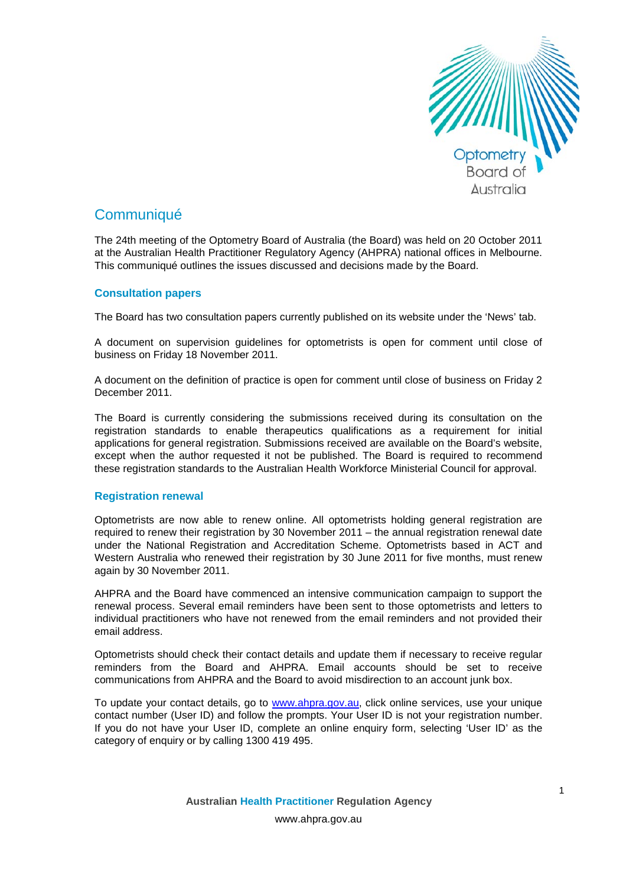

# **Communiqué**

The 24th meeting of the Optometry Board of Australia (the Board) was held on 20 October 2011 at the Australian Health Practitioner Regulatory Agency (AHPRA) national offices in Melbourne. This communiqué outlines the issues discussed and decisions made by the Board.

## **Consultation papers**

The Board has two consultation papers currently published on its website under the 'News' tab.

A document on supervision guidelines for optometrists is open for comment until close of business on Friday 18 November 2011.

A document on the definition of practice is open for comment until close of business on Friday 2 December 2011.

The Board is currently considering the submissions received during its consultation on the registration standards to enable therapeutics qualifications as a requirement for initial applications for general registration. Submissions received are available on the Board's website, except when the author requested it not be published. The Board is required to recommend these registration standards to the Australian Health Workforce Ministerial Council for approval.

### **Registration renewal**

Optometrists are now able to renew online. All optometrists holding general registration are required to renew their registration by 30 November 2011 – the annual registration renewal date under the National Registration and Accreditation Scheme. Optometrists based in ACT and Western Australia who renewed their registration by 30 June 2011 for five months, must renew again by 30 November 2011.

AHPRA and the Board have commenced an intensive communication campaign to support the renewal process. Several email reminders have been sent to those optometrists and letters to individual practitioners who have not renewed from the email reminders and not provided their email address.

Optometrists should check their contact details and update them if necessary to receive regular reminders from the Board and AHPRA. Email accounts should be set to receive communications from AHPRA and the Board to avoid misdirection to an account junk box.

To update your contact details, go to [www.ahpra.gov.au,](http://www.ahpra.gov.au/) click online services, use your unique contact number (User ID) and follow the prompts. Your User ID is not your registration number. If you do not have your User ID, complete an online enquiry form, selecting 'User ID' as the category of enquiry or by calling 1300 419 495.